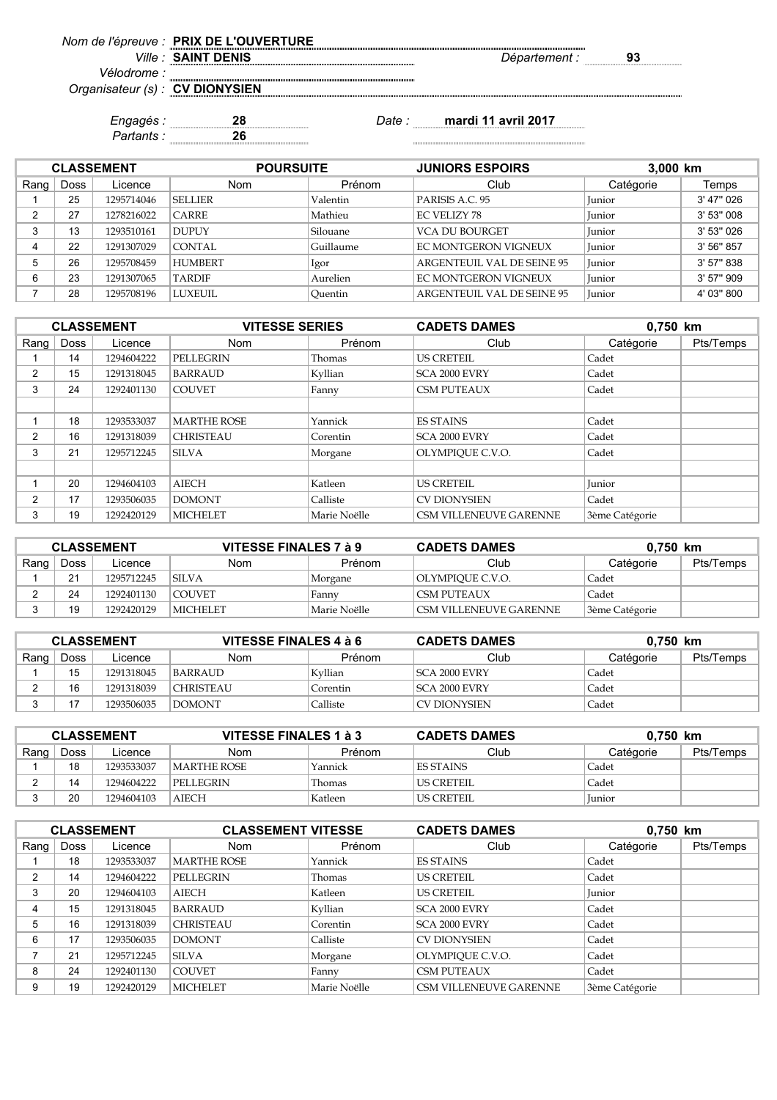| Non | <br>------- |     |
|-----|-------------|-----|
|     |             | n g |

*Vélodrome : Organisateur (s) :*

**CV DIONYSIEN**

*Partants :* **26**

*Engagés :* **28** *Date :* **mardi 11 avril 2017**

| <b>CLASSEMENT</b> |      |            | <b>POURSUITE</b> |           | <b>JUNIORS ESPOIRS</b>            | 3,000 km      |            |
|-------------------|------|------------|------------------|-----------|-----------------------------------|---------------|------------|
| Rang              | Doss | Licence    | <b>Nom</b>       | Prénom    | Club                              | Catégorie     | Temps      |
|                   | 25   | 1295714046 | <b>SELLIER</b>   | Valentin  | PARISIS A.C. 95                   | <b>Iunior</b> | 3' 47" 026 |
|                   | 27   | 1278216022 | <b>CARRE</b>     | Mathieu   | <b>EC VELIZY 78</b>               | <b>Iunior</b> | 3' 53" 008 |
|                   | 13   | 1293510161 | <b>DUPUY</b>     | Silouane  | <b>VCA DU BOURGET</b>             | <b>Iunior</b> | 3' 53" 026 |
|                   | 22   | 1291307029 | <b>CONTAL</b>    | Guillaume | <b>EC MONTGERON VIGNEUX</b>       | Junior        | 3' 56" 857 |
|                   | 26   | 1295708459 | <b>HUMBERT</b>   | Igor      | <b>ARGENTEUIL VAL DE SEINE 95</b> | Iunior        | 3' 57" 838 |
| 6                 | 23   | 1291307065 | <b>TARDIF</b>    | Aurelien  | <b>EC MONTGERON VIGNEUX</b>       | <b>Iunior</b> | 3' 57" 909 |
|                   | 28   | 1295708196 | <b>LUXEUIL</b>   | Ouentin   | <b>ARGENTEUIL VAL DE SEINE 95</b> | Junior        | 4' 03" 800 |

|      |      | <b>CLASSEMENT</b> | <b>VITESSE SERIES</b> |              | <b>CADETS DAMES</b>           | 0,750 km       |           |
|------|------|-------------------|-----------------------|--------------|-------------------------------|----------------|-----------|
| Rang | Doss | Licence           | <b>Nom</b>            | Prénom       | Club                          | Catégorie      | Pts/Temps |
|      | 14   | 1294604222        | PELLEGRIN             | Thomas       | <b>US CRETEIL</b>             | Cadet          |           |
| 2    | 15   | 1291318045        | <b>BARRAUD</b>        | Kyllian      | SCA 2000 EVRY                 | Cadet          |           |
| 3    | 24   | 1292401130        | <b>COUVET</b>         | Fanny        | <b>CSM PUTEAUX</b>            | Cadet          |           |
|      |      |                   |                       |              |                               |                |           |
|      | 18   | 1293533037        | <b>MARTHE ROSE</b>    | Yannick      | <b>ES STAINS</b>              | Cadet          |           |
| 2    | 16   | 1291318039        | <b>CHRISTEAU</b>      | Corentin     | SCA 2000 EVRY                 | Cadet          |           |
| 3    | 21   | 1295712245        | <b>SILVA</b>          | Morgane      | OLYMPIOUE C.V.O.              | Cadet          |           |
|      |      |                   |                       |              |                               |                |           |
|      | 20   | 1294604103        | <b>AIECH</b>          | Katleen      | <b>US CRETEIL</b>             | Junior         |           |
| 2    | 17   | 1293506035        | <b>DOMONT</b>         | Calliste     | <b>CV DIONYSIEN</b>           | Cadet          |           |
| 3    | 19   | 1292420129        | <b>MICHELET</b>       | Marie Noëlle | <b>CSM VILLENEUVE GARENNE</b> | 3ème Catégorie |           |

| <b>CLASSEMENT</b> |                |            | VITESSE FINALES 7 à 9 |              | <b>CADETS DAMES</b>    | 0.750 km       |           |
|-------------------|----------------|------------|-----------------------|--------------|------------------------|----------------|-----------|
| Rang              | Doss           | Licence    | Nom                   | Prénom       | Club                   | Catégorie      | Pts/Temps |
|                   | 21<br><u>.</u> | 1295712245 | <b>SILVA</b>          | Morgane      | OLYMPIOUE C.V.O.       | Cadet          |           |
|                   | 24             | 1292401130 | COUVET                | Fanny        | ICSM PUTEAUX           | Cadet          |           |
|                   | 19             | 1292420129 | MICHELET              | Marie Noëlle | CSM VILLENEUVE GARENNE | 3ème Catégorie |           |

| <b>CLASSEMENT</b> |      |            | <b>VITESSE FINALES 4 à 6</b> |          | <b>CADETS DAMES</b>   | 0.750 km  |           |
|-------------------|------|------------|------------------------------|----------|-----------------------|-----------|-----------|
| Rang              | Doss | Licence    | Nom                          | Prénom   | Club                  | Catégorie | Pts/Temps |
|                   | 15   | 1291318045 | BARRAUD                      | Kvllian  | ISCA 2000 EVRY        | Cadet     |           |
|                   | 16   | 1291318039 | CHRISTEAU                    | Corentin | <b>ISCA 2000 EVRY</b> | Cadet     |           |
|                   | - י  | 1293506035 | <b>DOMONT</b>                | Calliste | ICV DIONYSIEN         | Cadet     |           |

| <b>CLASSEMENT</b> |      |            | VITESSE FINALES 1 à 3 |         | <b>CADETS DAMES</b> |           | 0.750 km  |  |
|-------------------|------|------------|-----------------------|---------|---------------------|-----------|-----------|--|
| Rang              | Doss | Licence    | <b>Nom</b>            | Prénom  | Club                | Catégorie | Pts/Temps |  |
|                   | 18   | 1293533037 | MARTHE ROSE           | Yannick | ES STAINS           | Cadet     |           |  |
|                   | 14   | 1294604222 | <b>PELLEGRIN</b>      | Thomas  | LUS CRETEIL.        | Cadet     |           |  |
|                   | 20   | 1294604103 | <b>AIECH</b>          | Katleen | LUS CRETEIL         | Junior    |           |  |

| <b>CLASSEMENT</b> |      |            | <b>CLASSEMENT VITESSE</b> |              | <b>CADETS DAMES</b>    | 0,750 km       |           |
|-------------------|------|------------|---------------------------|--------------|------------------------|----------------|-----------|
| Rang              | Doss | Licence    | <b>Nom</b>                | Prénom       | Club                   | Catégorie      | Pts/Temps |
|                   | 18   | 1293533037 | <b>MARTHE ROSE</b>        | Yannick      | <b>ES STAINS</b>       | Cadet          |           |
| 2                 | 14   | 1294604222 | PELLEGRIN                 | Thomas       | <b>US CRETEIL</b>      | Cadet          |           |
| 3                 | 20   | 1294604103 | <b>AIECH</b>              | Katleen      | <b>US CRETEIL</b>      | <b>Iunior</b>  |           |
| 4                 | 15   | 1291318045 | <b>BARRAUD</b>            | Kyllian      | <b>SCA 2000 EVRY</b>   | Cadet          |           |
| 5                 | 16   | 1291318039 | <b>CHRISTEAU</b>          | Corentin     | <b>SCA 2000 EVRY</b>   | Cadet          |           |
| 6                 | 17   | 1293506035 | <b>DOMONT</b>             | Calliste     | <b>CV DIONYSIEN</b>    | Cadet          |           |
|                   | 21   | 1295712245 | <b>SILVA</b>              | Morgane      | OLYMPIOUE C.V.O.       | Cadet          |           |
| 8                 | 24   | 1292401130 | <b>COUVET</b>             | Fanny        | <b>CSM PUTEAUX</b>     | Cadet          |           |
| 9                 | 19   | 1292420129 | <b>MICHELET</b>           | Marie Noëlle | CSM VILLENEUVE GARENNE | 3ème Catégorie |           |